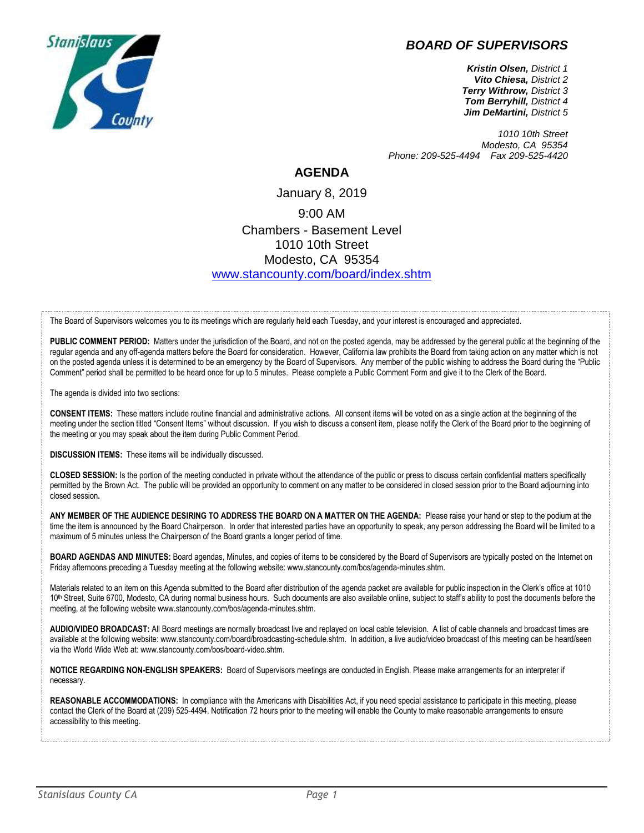## *BOARD OF SUPERVISORS*



*Kristin Olsen, District 1 Vito Chiesa, District 2 Terry Withrow, District 3 Tom Berryhill, District 4 Jim DeMartini, District 5*

*1010 10th Street Modesto, CA 95354 Phone: 209-525-4494 Fax 209-525-4420*

## **AGENDA**

January 8, 2019 9:00 AM Chambers - Basement Level 1010 10th Street Modesto, CA 95354 [www.stancounty.com/board/index.shtm](http://www.stancounty.com/board/index.shtm)

The Board of Supervisors welcomes you to its meetings which are regularly held each Tuesday, and your interest is encouraged and appreciated.

PUBLIC COMMENT PERIOD: Matters under the jurisdiction of the Board, and not on the posted agenda, may be addressed by the general public at the beginning of the regular agenda and any off-agenda matters before the Board for consideration. However, California law prohibits the Board from taking action on any matter which is not on the posted agenda unless it is determined to be an emergency by the Board of Supervisors. Any member of the public wishing to address the Board during the "Public Comment" period shall be permitted to be heard once for up to 5 minutes. Please complete a Public Comment Form and give it to the Clerk of the Board.

The agenda is divided into two sections:

**CONSENT ITEMS:** These matters include routine financial and administrative actions. All consent items will be voted on as a single action at the beginning of the meeting under the section titled "Consent Items" without discussion. If you wish to discuss a consent item, please notify the Clerk of the Board prior to the beginning of the meeting or you may speak about the item during Public Comment Period.

**DISCUSSION ITEMS:** These items will be individually discussed.

**CLOSED SESSION:** Is the portion of the meeting conducted in private without the attendance of the public or press to discuss certain confidential matters specifically permitted by the Brown Act. The public will be provided an opportunity to comment on any matter to be considered in closed session prior to the Board adjourning into closed session**.**

**ANY MEMBER OF THE AUDIENCE DESIRING TO ADDRESS THE BOARD ON A MATTER ON THE AGENDA:** Please raise your hand or step to the podium at the time the item is announced by the Board Chairperson. In order that interested parties have an opportunity to speak, any person addressing the Board will be limited to a maximum of 5 minutes unless the Chairperson of the Board grants a longer period of time.

**BOARD AGENDAS AND MINUTES:** Board agendas, Minutes, and copies of items to be considered by the Board of Supervisors are typically posted on the Internet on Friday afternoons preceding a Tuesday meeting at the following website: www.stancounty.com/bos/agenda-minutes.shtm.

Materials related to an item on this Agenda submitted to the Board after distribution of the agenda packet are available for public inspection in the Clerk's office at 1010 10<sup>th</sup> Street, Suite 6700, Modesto, CA during normal business hours. Such documents are also available online, subject to staff's ability to post the documents before the meeting, at the following website www.stancounty.com/bos/agenda-minutes.shtm.

**AUDIO/VIDEO BROADCAST:** All Board meetings are normally broadcast live and replayed on local cable television. A list of cable channels and broadcast times are available at the following website: www.stancounty.com/board/broadcasting-schedule.shtm. In addition, a live audio/video broadcast of this meeting can be heard/seen via the World Wide Web at: www.stancounty.com/bos/board-video.shtm.

**NOTICE REGARDING NON-ENGLISH SPEAKERS:** Board of Supervisors meetings are conducted in English. Please make arrangements for an interpreter if necessary.

**REASONABLE ACCOMMODATIONS:** In compliance with the Americans with Disabilities Act, if you need special assistance to participate in this meeting, please contact the Clerk of the Board at (209) 525-4494. Notification 72 hours prior to the meeting will enable the County to make reasonable arrangements to ensure accessibility to this meeting.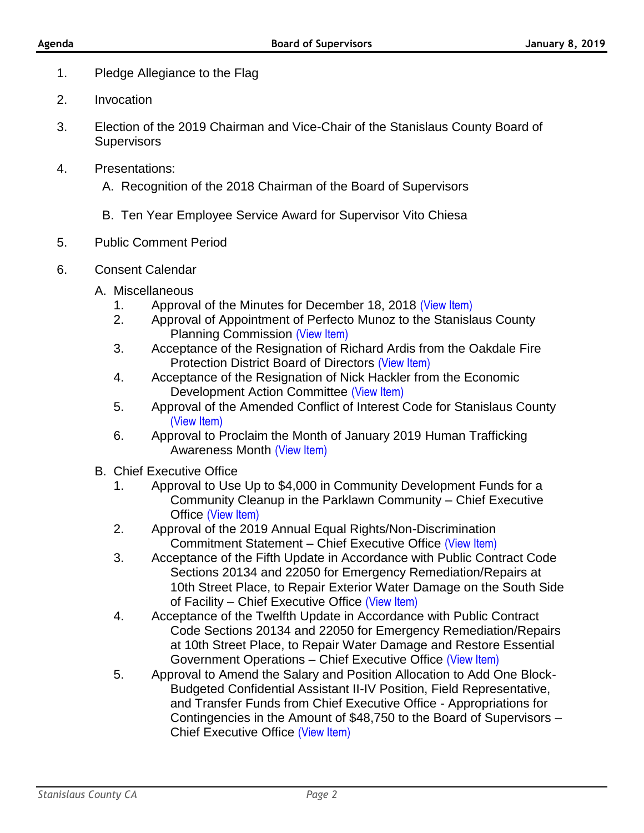- 1. Pledge Allegiance to the Flag
- 2. Invocation
- 3. Election of the 2019 Chairman and Vice-Chair of the Stanislaus County Board of **Supervisors**
- 4. Presentations:
	- A. Recognition of the 2018 Chairman of the Board of Supervisors
	- B. Ten Year Employee Service Award for Supervisor Vito Chiesa
- 5. Public Comment Period
- 6. Consent Calendar
	- A. Miscellaneous
		- 1. Approval of the Minutes for December 18, 2018 [\(View Item\)](http://stancounty.com/bos/minutes/2018/min12-18-18.pdf)
		- 2. Approval of Appointment of Perfecto Munoz to the Stanislaus County Planning Commission [\(View Item\)](http://stancounty.com/bos/agenda/2019/20190108/A02.pdf)
		- 3. Acceptance of the Resignation of Richard Ardis from the Oakdale Fire Protection District Board of Directors [\(View Item\)](http://stancounty.com/bos/agenda/2019/20190108/A03.pdf)
		- 4. Acceptance of the Resignation of Nick Hackler from the Economic Development Action Committee [\(View Item\)](http://stancounty.com/bos/agenda/2019/20190108/A04.pdf)
		- 5. Approval of the Amended Conflict of Interest Code for Stanislaus County [\(View Item\)](http://stancounty.com/bos/agenda/2019/20190108/A05.pdf)
		- 6. Approval to Proclaim the Month of January 2019 Human Trafficking Awareness Month [\(View Item\)](http://stancounty.com/bos/agenda/2019/20190108/A06.pdf)
	- B. Chief Executive Office
		- 1. Approval to Use Up to \$4,000 in Community Development Funds for a Community Cleanup in the Parklawn Community – Chief Executive Office [\(View Item\)](http://stancounty.com/bos/agenda/2019/20190108/B01.pdf)
		- 2. Approval of the 2019 Annual Equal Rights/Non-Discrimination Commitment Statement – Chief Executive Office [\(View Item\)](http://stancounty.com/bos/agenda/2019/20190108/B02.pdf)
		- 3. Acceptance of the Fifth Update in Accordance with Public Contract Code Sections 20134 and 22050 for Emergency Remediation/Repairs at 10th Street Place, to Repair Exterior Water Damage on the South Side of Facility – Chief Executive Office [\(View Item\)](http://stancounty.com/bos/agenda/2019/20190108/B03.pdf)
		- 4. Acceptance of the Twelfth Update in Accordance with Public Contract Code Sections 20134 and 22050 for Emergency Remediation/Repairs at 10th Street Place, to Repair Water Damage and Restore Essential Government Operations – Chief Executive Office [\(View Item\)](http://stancounty.com/bos/agenda/2019/20190108/B04.pdf)
		- 5. Approval to Amend the Salary and Position Allocation to Add One Block-Budgeted Confidential Assistant II-IV Position, Field Representative, and Transfer Funds from Chief Executive Office - Appropriations for Contingencies in the Amount of \$48,750 to the Board of Supervisors – Chief Executive Office [\(View Item\)](http://stancounty.com/bos/agenda/2019/20190108/B05.pdf)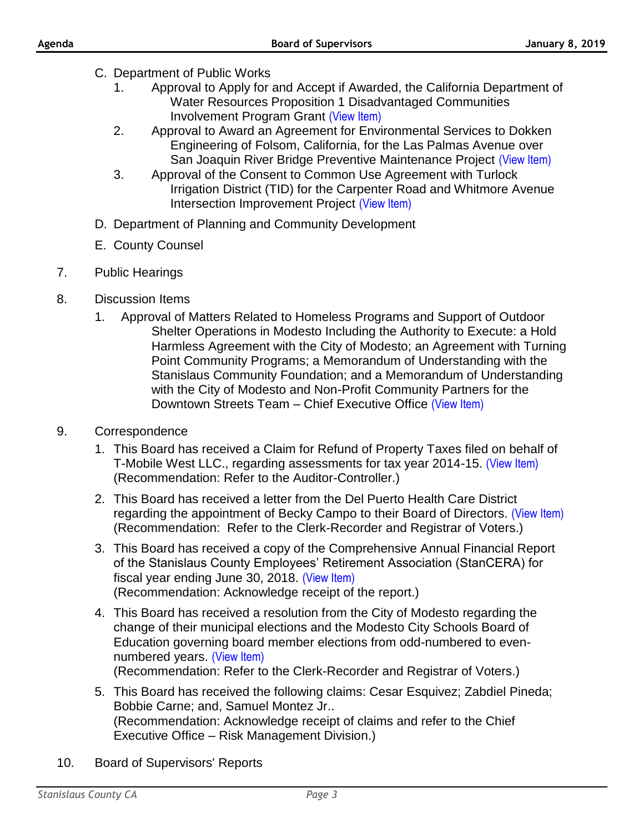- C. Department of Public Works
	- 1. Approval to Apply for and Accept if Awarded, the California Department of Water Resources Proposition 1 Disadvantaged Communities Involvement Program Grant [\(View Item\)](http://stancounty.com/bos/agenda/2019/20190108/C01.pdf)
	- 2. Approval to Award an Agreement for Environmental Services to Dokken Engineering of Folsom, California, for the Las Palmas Avenue over San Joaquin River Bridge Preventive Maintenance Project [\(View Item\)](http://stancounty.com/bos/agenda/2019/20190108/C02.pdf)
	- 3. Approval of the Consent to Common Use Agreement with Turlock Irrigation District (TID) for the Carpenter Road and Whitmore Avenue Intersection Improvement Project [\(View Item\)](http://stancounty.com/bos/agenda/2019/20190108/C03.pdf)
- D. Department of Planning and Community Development
- E. County Counsel
- 7. Public Hearings
- 8. Discussion Items
	- 1. Approval of Matters Related to Homeless Programs and Support of Outdoor Shelter Operations in Modesto Including the Authority to Execute: a Hold Harmless Agreement with the City of Modesto; an Agreement with Turning Point Community Programs; a Memorandum of Understanding with the Stanislaus Community Foundation; and a Memorandum of Understanding with the City of Modesto and Non-Profit Community Partners for the Downtown Streets Team - Chief Executive Office [\(View Item\)](http://stancounty.com/bos/agenda/2019/20190108/DIS01.pdf)
- 9. Correspondence
	- 1. This Board has received a Claim for Refund of Property Taxes filed on behalf of T-Mobile West LLC., regarding assessments for tax year 2014-15. [\(View Item\)](http://stancounty.com/bos/agenda/2019/20190108/Corr01.pdf) (Recommendation: Refer to the Auditor-Controller.)
	- 2. This Board has received a letter from the Del Puerto Health Care District regarding the appointment of Becky Campo to their Board of Directors. [\(View Item\)](http://stancounty.com/bos/agenda/2019/20190108/Corr02.pdf) (Recommendation: Refer to the Clerk-Recorder and Registrar of Voters.)
	- 3. This Board has received a copy of the Comprehensive Annual Financial Report of the Stanislaus County Employees' Retirement Association (StanCERA) for fiscal year ending June 30, 2018. [\(View Item\)](http://stancounty.com/bos/agenda/2019/20190108/Corr03.pdf) (Recommendation: Acknowledge receipt of the report.)
	- 4. This Board has received a resolution from the City of Modesto regarding the change of their municipal elections and the Modesto City Schools Board of Education governing board member elections from odd-numbered to evennumbered years. [\(View Item\)](http://stancounty.com/bos/agenda/2019/20190108/Corr04.pdf) (Recommendation: Refer to the Clerk-Recorder and Registrar of Voters.)
	- 5. This Board has received the following claims: Cesar Esquivez; Zabdiel Pineda; Bobbie Carne; and, Samuel Montez Jr.. (Recommendation: Acknowledge receipt of claims and refer to the Chief Executive Office – Risk Management Division.)
- 10. Board of Supervisors' Reports